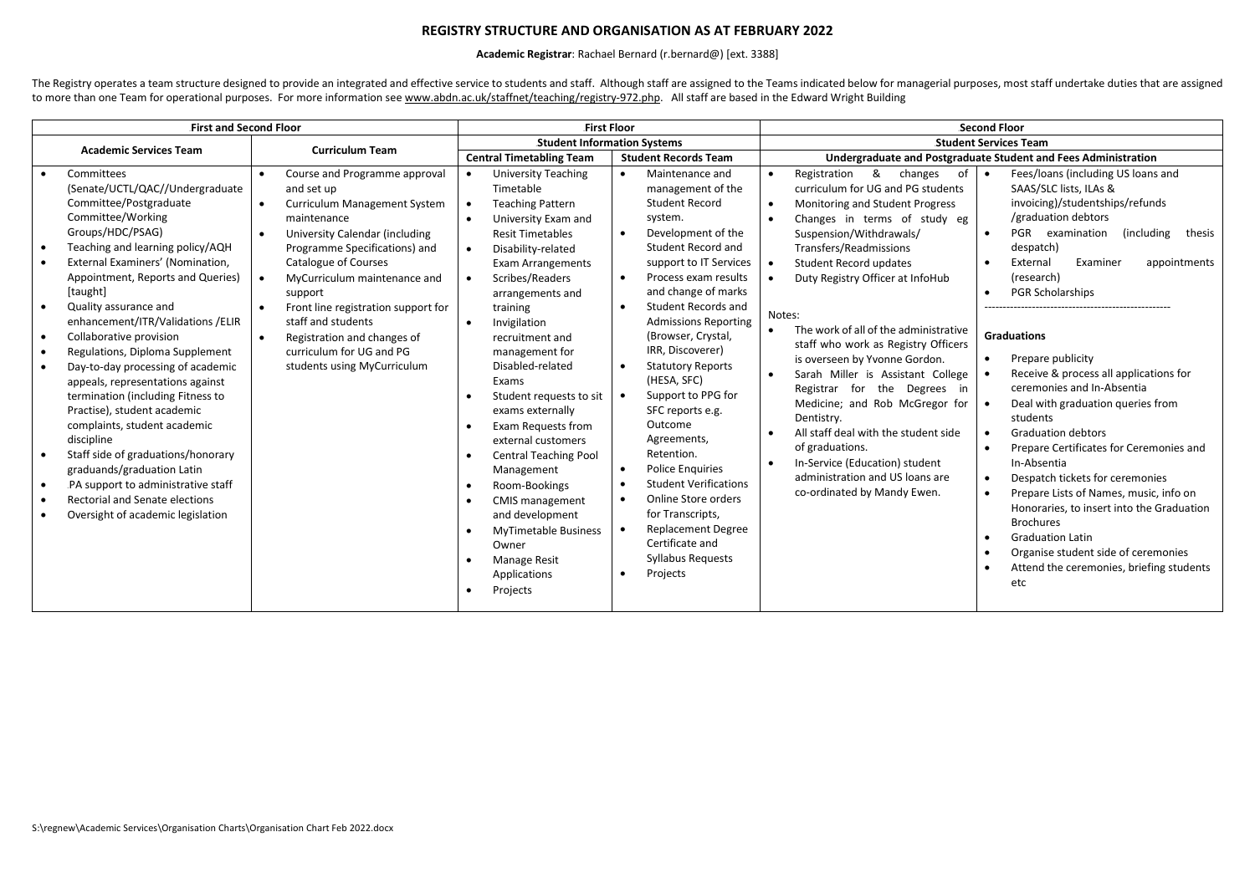## **REGISTRY STRUCTURE AND ORGANISATION AS AT FEBRUARY 2022**

## **Academic Registrar**: Rachael Bernard (r.bernard@) [ext. 3388]

The Registry operates a team structure designed to provide an integrated and effective service to students and staff. Although staff are assigned to the Teams indicated below for managerial purposes, most staff undertake d to more than one Team for operational purposes. For more information se[e www.abdn.ac.uk/staffnet/teaching/registry-972.php.](http://www.abdn.ac.uk/staffnet/teaching/registry-972.php) All staff are based in the Edward Wright Building

| <b>Student Information Systems</b><br><b>Student Services Team</b><br><b>Academic Services Team</b><br><b>Curriculum Team</b><br><b>Central Timetabling Team</b><br><b>Student Records Team</b><br><b>University Teaching</b><br>&<br>changes<br>of<br>Committees<br>Course and Programme approval<br>Maintenance and<br>Registration<br>$\bullet$<br>$\bullet$<br>$\bullet$<br>$\bullet$<br>(Senate/UCTL/QAC//Undergraduate<br>curriculum for UG and PG students<br>SAAS/SLC lists, ILAs &<br>and set up<br>Timetable<br>management of the<br>Committee/Postgraduate<br><b>Student Record</b><br>Curriculum Management System<br>Monitoring and Student Progress<br><b>Teaching Pattern</b><br>$\bullet$<br>Committee/Working<br>/graduation debtors<br>maintenance<br>Changes in terms of study eg<br>University Exam and<br>system.<br>$\bullet$<br>Groups/HDC/PSAG)<br>Development of the<br>Suspension/Withdrawals/<br>PGR examination<br>University Calendar (including<br><b>Resit Timetables</b><br>$\bullet$<br>$\bullet$<br>$\bullet$<br>Teaching and learning policy/AQH<br>Student Record and<br>Transfers/Readmissions<br>Programme Specifications) and<br>despatch)<br>$\bullet$<br>Disability-related<br>$\bullet$<br>External Examiners' (Nomination,<br>Catalogue of Courses<br>support to IT Services<br>External<br>Examiner<br><b>Student Record updates</b><br>$\bullet$<br><b>Exam Arrangements</b><br>$\bullet$<br>Appointment, Reports and Queries)<br>Process exam results<br>(research)<br>MyCurriculum maintenance and<br>$\bullet$<br>Scribes/Readers<br>Duty Registry Officer at InfoHub<br>$\bullet$<br>and change of marks<br>[taught]<br><b>PGR Scholarships</b><br>support<br>arrangements and<br>$\bullet$<br>Quality assurance and<br>Student Records and<br>$\bullet$<br>Front line registration support for<br>training<br>$\bullet$<br>Notes:<br>enhancement/ITR/Validations /ELIR<br>staff and students<br><b>Admissions Reporting</b><br>Invigilation<br>The work of all of the administrative<br>$\bullet$<br><b>Graduations</b><br>(Browser, Crystal,<br>Collaborative provision<br>Registration and changes of<br>$\bullet$<br>$\bullet$<br>recruitment and<br>staff who work as Registry Officers<br>IRR, Discoverer)<br>Regulations, Diploma Supplement<br>curriculum for UG and PG<br>management for<br>$\bullet$<br>Prepare publicity<br>is overseen by Yvonne Gordon.<br><b>Statutory Reports</b><br>Disabled-related<br>students using MyCurriculum<br>Day-to-day processing of academic<br>$\bullet$<br>Sarah Miller is Assistant College<br>$\bullet$<br>(HESA, SFC)<br>Exams<br>appeals, representations against<br>ceremonies and In-Absentia<br>Registrar for the Degrees in<br>Support to PPG for | <b>First and Second Floor</b>     | <b>Second Floor</b>                                                                                                                                                                                                                                                                                                                                                                                                                                                                     | <b>First Floor</b> |                         |  |
|----------------------------------------------------------------------------------------------------------------------------------------------------------------------------------------------------------------------------------------------------------------------------------------------------------------------------------------------------------------------------------------------------------------------------------------------------------------------------------------------------------------------------------------------------------------------------------------------------------------------------------------------------------------------------------------------------------------------------------------------------------------------------------------------------------------------------------------------------------------------------------------------------------------------------------------------------------------------------------------------------------------------------------------------------------------------------------------------------------------------------------------------------------------------------------------------------------------------------------------------------------------------------------------------------------------------------------------------------------------------------------------------------------------------------------------------------------------------------------------------------------------------------------------------------------------------------------------------------------------------------------------------------------------------------------------------------------------------------------------------------------------------------------------------------------------------------------------------------------------------------------------------------------------------------------------------------------------------------------------------------------------------------------------------------------------------------------------------------------------------------------------------------------------------------------------------------------------------------------------------------------------------------------------------------------------------------------------------------------------------------------------------------------------------------------------------------------------------------------------------------------------------------------------------------------------------------------------------------------------------------------------------------------------------------------------------------------------------------------------------------------|-----------------------------------|-----------------------------------------------------------------------------------------------------------------------------------------------------------------------------------------------------------------------------------------------------------------------------------------------------------------------------------------------------------------------------------------------------------------------------------------------------------------------------------------|--------------------|-------------------------|--|
|                                                                                                                                                                                                                                                                                                                                                                                                                                                                                                                                                                                                                                                                                                                                                                                                                                                                                                                                                                                                                                                                                                                                                                                                                                                                                                                                                                                                                                                                                                                                                                                                                                                                                                                                                                                                                                                                                                                                                                                                                                                                                                                                                                                                                                                                                                                                                                                                                                                                                                                                                                                                                                                                                                                                                          |                                   |                                                                                                                                                                                                                                                                                                                                                                                                                                                                                         |                    |                         |  |
|                                                                                                                                                                                                                                                                                                                                                                                                                                                                                                                                                                                                                                                                                                                                                                                                                                                                                                                                                                                                                                                                                                                                                                                                                                                                                                                                                                                                                                                                                                                                                                                                                                                                                                                                                                                                                                                                                                                                                                                                                                                                                                                                                                                                                                                                                                                                                                                                                                                                                                                                                                                                                                                                                                                                                          |                                   | Undergraduate and Postgraduate Student and Fees Administration                                                                                                                                                                                                                                                                                                                                                                                                                          |                    |                         |  |
| Practise), student academic<br>SFC reports e.g.<br>exams externally<br>Dentistry.<br>students<br>Outcome<br>complaints, student academic<br>Exam Requests from<br>All staff deal with the student side<br><b>Graduation debtors</b><br>$\bullet$<br>discipline<br>Agreements,<br>external customers<br>of graduations.<br>Retention.<br>Staff side of graduations/honorary<br>$\bullet$<br><b>Central Teaching Pool</b><br>$\bullet$<br>In-Service (Education) student<br>In-Absentia<br>$\bullet$<br><b>Police Enquiries</b><br>graduands/graduation Latin<br>Management<br>$\bullet$<br>administration and US loans are<br>$\bullet$<br><b>Student Verifications</b><br>.PA support to administrative staff<br>Room-Bookings<br>$\bullet$<br>co-ordinated by Mandy Ewen.<br>Online Store orders<br><b>Rectorial and Senate elections</b><br><b>CMIS management</b><br>$\bullet$<br>for Transcripts,<br>and development<br>Oversight of academic legislation<br>$\bullet$<br><b>Brochures</b><br><b>Replacement Degree</b><br><b>MyTimetable Business</b><br><b>Graduation Latin</b><br>Certificate and<br>Owner<br><b>Syllabus Requests</b><br><b>Manage Resit</b><br>$\bullet$<br>Projects<br>Applications<br>$\bullet$<br>etc<br>Projects                                                                                                                                                                                                                                                                                                                                                                                                                                                                                                                                                                                                                                                                                                                                                                                                                                                                                                                                                                                                                                                                                                                                                                                                                                                                                                                                                                                                                                                                                                            | termination (including Fitness to | Fees/loans (including US loans and<br>invoicing)/studentships/refunds<br>(including)<br>thesis<br>appointments<br>Receive & process all applications for<br>Medicine; and Rob McGregor for<br>Deal with graduation queries from<br>Prepare Certificates for Ceremonies and<br>Despatch tickets for ceremonies<br>Prepare Lists of Names, music, info on<br>Honoraries, to insert into the Graduation<br>Organise student side of ceremonies<br>Attend the ceremonies, briefing students |                    | Student requests to sit |  |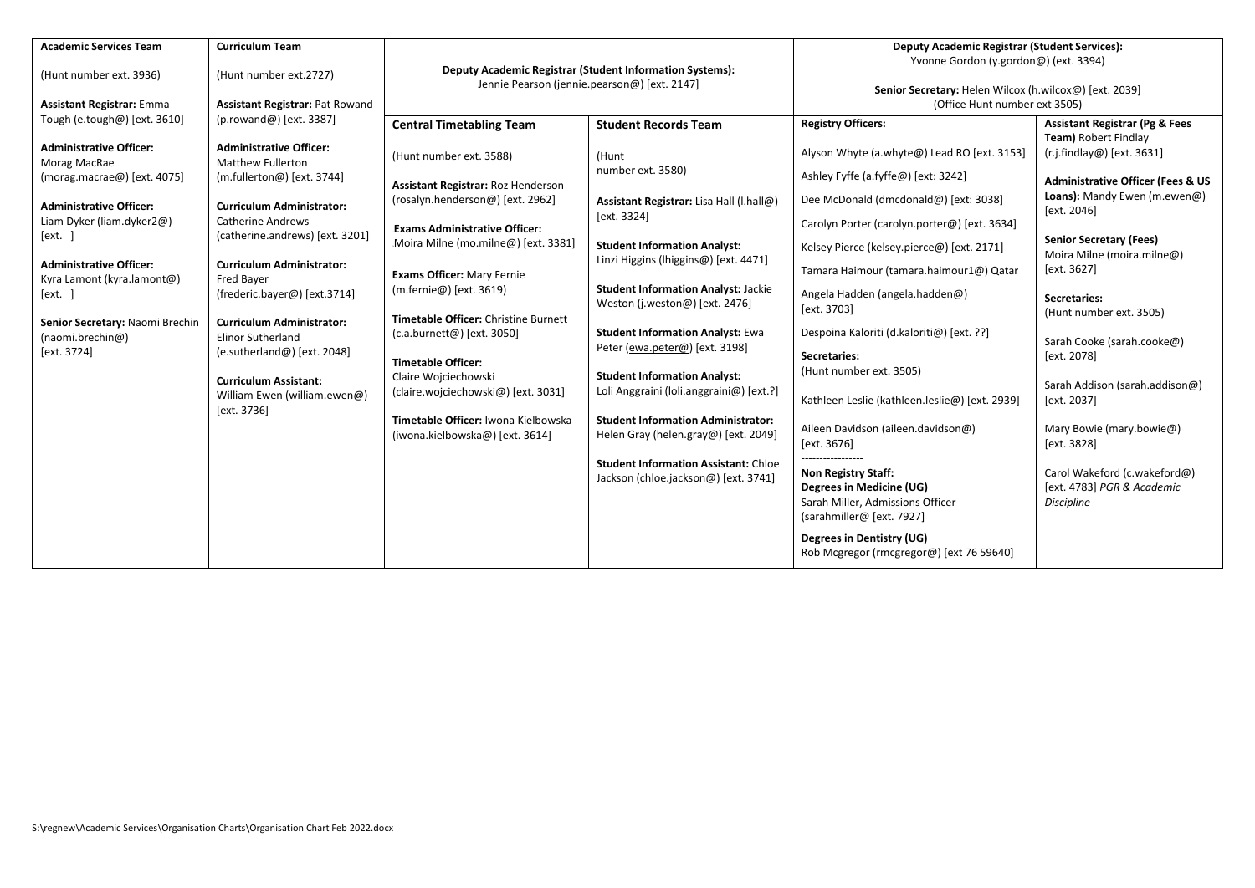| <b>Academic Services Team</b>                                                                                                                                                                                                                                                                                                                                             | <b>Curriculum Team</b>                                                                                                                                                                                                                                                                                                                                                                                                                                                                                                       |                                                                                                                                                                                                                                                                                                                                                                                                                                                                                                                                 |                                                                                                                                                                                                                                                                                                                                                                                                                                                                                                                                                                                                                                  | <b>Deputy Academic Registrar (Student Services):</b>                                                                                                                                                                                                                                                                                                                                                                                                                                                                                                                                                                                                                                                          |                                                                                                                                                                                                                                                                                                                                                                                                                                                                                                                                                      |  |
|---------------------------------------------------------------------------------------------------------------------------------------------------------------------------------------------------------------------------------------------------------------------------------------------------------------------------------------------------------------------------|------------------------------------------------------------------------------------------------------------------------------------------------------------------------------------------------------------------------------------------------------------------------------------------------------------------------------------------------------------------------------------------------------------------------------------------------------------------------------------------------------------------------------|---------------------------------------------------------------------------------------------------------------------------------------------------------------------------------------------------------------------------------------------------------------------------------------------------------------------------------------------------------------------------------------------------------------------------------------------------------------------------------------------------------------------------------|----------------------------------------------------------------------------------------------------------------------------------------------------------------------------------------------------------------------------------------------------------------------------------------------------------------------------------------------------------------------------------------------------------------------------------------------------------------------------------------------------------------------------------------------------------------------------------------------------------------------------------|---------------------------------------------------------------------------------------------------------------------------------------------------------------------------------------------------------------------------------------------------------------------------------------------------------------------------------------------------------------------------------------------------------------------------------------------------------------------------------------------------------------------------------------------------------------------------------------------------------------------------------------------------------------------------------------------------------------|------------------------------------------------------------------------------------------------------------------------------------------------------------------------------------------------------------------------------------------------------------------------------------------------------------------------------------------------------------------------------------------------------------------------------------------------------------------------------------------------------------------------------------------------------|--|
| (Hunt number ext. 3936)                                                                                                                                                                                                                                                                                                                                                   | (Hunt number ext.2727)                                                                                                                                                                                                                                                                                                                                                                                                                                                                                                       | <b>Deputy Academic Registrar (Student Information Systems):</b><br>Jennie Pearson (jennie.pearson@) [ext. 2147]                                                                                                                                                                                                                                                                                                                                                                                                                 |                                                                                                                                                                                                                                                                                                                                                                                                                                                                                                                                                                                                                                  | Yvonne Gordon (y.gordon@) (ext. 3394)<br>Senior Secretary: Helen Wilcox (h.wilcox@) [ext. 2039]                                                                                                                                                                                                                                                                                                                                                                                                                                                                                                                                                                                                               |                                                                                                                                                                                                                                                                                                                                                                                                                                                                                                                                                      |  |
|                                                                                                                                                                                                                                                                                                                                                                           |                                                                                                                                                                                                                                                                                                                                                                                                                                                                                                                              |                                                                                                                                                                                                                                                                                                                                                                                                                                                                                                                                 |                                                                                                                                                                                                                                                                                                                                                                                                                                                                                                                                                                                                                                  |                                                                                                                                                                                                                                                                                                                                                                                                                                                                                                                                                                                                                                                                                                               |                                                                                                                                                                                                                                                                                                                                                                                                                                                                                                                                                      |  |
| <b>Assistant Registrar: Emma</b><br>Tough (e.tough@) [ext. 3610]<br><b>Administrative Officer:</b><br>Morag MacRae<br>(morag.macrae@) [ext. 4075]<br><b>Administrative Officer:</b><br>Liam Dyker (liam.dyker2@)<br>[ext.<br><b>Administrative Officer:</b><br>Kyra Lamont (kyra.lamont@)<br>[ext.]<br>Senior Secretary: Naomi Brechin<br>(naomi.brechin@)<br>[ext. 3724] | Assistant Registrar: Pat Rowand<br>$(prowand@)$ [ext. 3387]<br><b>Administrative Officer:</b><br><b>Matthew Fullerton</b><br>$(m.fullerton@)$ [ext. 3744]<br><b>Curriculum Administrator:</b><br><b>Catherine Andrews</b><br>(catherine.andrews) [ext. 3201]<br><b>Curriculum Administrator:</b><br>Fred Bayer<br>(frederic.bayer@) [ext.3714]<br><b>Curriculum Administrator:</b><br><b>Elinor Sutherland</b><br>(e.sutherland@) [ext. 2048]<br><b>Curriculum Assistant:</b><br>William Ewen (william.ewen@)<br>[ext. 3736] | <b>Central Timetabling Team</b><br>(Hunt number ext. 3588)<br>Assistant Registrar: Roz Henderson<br>(rosalyn.henderson@) [ext. 2962]<br><b>Exams Administrative Officer:</b><br>Moira Milne (mo.milne@) [ext. 3381]<br><b>Exams Officer: Mary Fernie</b><br>(m.fernie@) [ext. 3619)<br>Timetable Officer: Christine Burnett<br>(c.a.burnett@) [ext. 3050]<br><b>Timetable Officer:</b><br>Claire Wojciechowski<br>(claire.wojciechowski@) [ext. 3031]<br>Timetable Officer: Iwona Kielbowska<br>(iwona.kielbowska@) [ext. 3614] | <b>Student Records Team</b><br>(Hunt<br>number ext. 3580)<br>Assistant Registrar: Lisa Hall (I.hall@)<br>[ext. 3324]<br><b>Student Information Analyst:</b><br>Linzi Higgins (lhiggins@) [ext. 4471]<br><b>Student Information Analyst: Jackie</b><br>Weston (j.weston@) [ext. 2476]<br><b>Student Information Analyst: Ewa</b><br>Peter (ewa.peter@) [ext. 3198]<br><b>Student Information Analyst:</b><br>Loli Anggraini (loli.anggraini@) [ext.?]<br><b>Student Information Administrator:</b><br>Helen Gray (helen.gray@) [ext. 2049]<br><b>Student Information Assistant: Chloe</b><br>Jackson (chloe.jackson@) [ext. 3741] | (Office Hunt number ext 3505)<br><b>Registry Officers:</b><br>Alyson Whyte (a.whyte@) Lead RO [ext. 3153]<br>Ashley Fyffe (a.fyffe@) [ext: 3242]<br>Dee McDonald (dmcdonald@) [ext: 3038]<br>Carolyn Porter (carolyn.porter@) [ext. 3634]<br>Kelsey Pierce (kelsey.pierce@) [ext. 2171]<br>Tamara Haimour (tamara.haimour1@) Qatar<br>Angela Hadden (angela.hadden@)<br>[ext. 3703]<br>Despoina Kaloriti (d.kaloriti@) [ext. ??]<br>Secretaries:<br>(Hunt number ext. 3505)<br>Kathleen Leslie (kathleen.leslie@) [ext. 2939]<br>Aileen Davidson (aileen.davidson@)<br>[ext. 3676]<br><b>Non Registry Staff:</b><br>Degrees in Medicine (UG)<br>Sarah Miller, Admissions Officer<br>(sarahmiller@ [ext. 7927] | <b>Assistant Registrar (Pg &amp; Fees</b><br>Team) Robert Findlay<br>(r.j.findlay@) [ext. 3631]<br><b>Administrative Officer (Fees &amp; US</b><br>Loans): Mandy Ewen (m.ewen@)<br>[ext. 2046]<br><b>Senior Secretary (Fees)</b><br>Moira Milne (moira.milne@)<br>[ext. 3627]<br>Secretaries:<br>(Hunt number ext. 3505)<br>Sarah Cooke (sarah.cooke@)<br>[ext. 2078]<br>Sarah Addison (sarah.addison@)<br>[ext. 2037]<br>Mary Bowie (mary.bowie@)<br>[ext. 3828]<br>Carol Wakeford (c.wakeford@)<br>[ext. 4783] PGR & Academic<br><b>Discipline</b> |  |
|                                                                                                                                                                                                                                                                                                                                                                           |                                                                                                                                                                                                                                                                                                                                                                                                                                                                                                                              |                                                                                                                                                                                                                                                                                                                                                                                                                                                                                                                                 |                                                                                                                                                                                                                                                                                                                                                                                                                                                                                                                                                                                                                                  | Degrees in Dentistry (UG)<br>Rob Mcgregor (rmcgregor@) [ext 76 59640]                                                                                                                                                                                                                                                                                                                                                                                                                                                                                                                                                                                                                                         |                                                                                                                                                                                                                                                                                                                                                                                                                                                                                                                                                      |  |